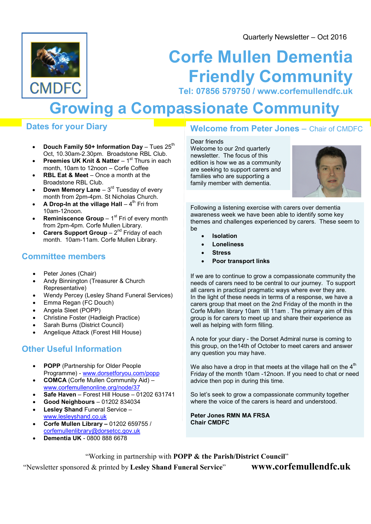Quarterly Newsletter – Oct 2016



# Corfe Mullen Dementia Friendly Community

Tel: 07856 579750 / www.corfemullendfc.uk

## Growing a Compassionate Community

## Dates for your Diary

- Douch Family 50+ Information Day Tues  $25<sup>th</sup>$ Oct, 10.30am-2.30pm. Broadstone RBL Club.
- Preemies UK Knit & Natter  $1<sup>st</sup>$  Thurs in each month, 10am to 12noon – Corfe Coffee
- RBL Eat & Meet Once a month at the Broadstone RBL Club.
- **Down Memory Lane**  $3^{rd}$  Tuesday of every month from 2pm-4pm. St Nicholas Church.
- A Drop-In at the village Hall  $4^{th}$  Fri from 10am-12noon.
- **Reminiscence Group** 1<sup>st</sup> Fri of every month from 2pm-4pm. Corfe Mullen Library.
- **Carers Support Group**  $-2^{nd}$  Friday of each month. 10am-11am. Corfe Mullen Library.

## Committee members

- Peter Jones (Chair)
- Andy Binnington (Treasurer & Church Representative)
- Wendy Percey (Lesley Shand Funeral Services)
- Emma Regan (FC Douch)
- Angela Sleet (POPP)
- Christine Foster (Hadleigh Practice)
- Sarah Burns (District Council)
- Angelique Attack (Forest Hill House)

## Other Useful Information

- POPP (Partnership for Older People Programme) - www.dorsetforyou.com/popp
- COMCA (Corfe Mullen Community Aid) www.corfemullenonline.org/node/37
- Safe Haven Forest Hill House 01202 631741
- Good Neighbours 01202 834034
- Lesley Shand Funeral Service www.lesleyshand.co.uk
- Corfe Mullen Library 01202 659755 / corfemullenlibrary@dorsetcc.gov.uk
- Dementia UK 0800 888 6678

## Welcome from Peter Jones – Chair of CMDFC

Dear friends Welcome to our 2nd quarterly newsletter. The focus of this edition is how we as a community are seeking to support carers and families who are supporting a family member with dementia.



Following a listening exercise with carers over dementia awareness week we have been able to identify some key themes and challenges experienced by carers. These seem to be

- Isolation
- Loneliness
- Stress
- Poor transport links

If we are to continue to grow a compassionate community the needs of carers need to be central to our journey. To support all carers in practical pragmatic ways where ever they are. In the light of these needs in terms of a response, we have a carers group that meet on the 2nd Friday of the month in the Corfe Mullen library 10am till 11am . The primary aim of this group is for carers to meet up and share their experience as well as helping with form filling.

A note for your diary - the Dorset Admiral nurse is coming to this group, on the14th of October to meet carers and answer any question you may have.

We also have a drop in that meets at the village hall on the  $4<sup>th</sup>$ Friday of the month 10am -12noon. If you need to chat or need advice then pop in during this time.

So let's seek to grow a compassionate community together where the voice of the carers is heard and understood.

Peter Jones RMN MA FRSA Chair CMDFC

"Working in partnership with POPP & the Parish/District Council" "Newsletter sponsored & printed by Lesley Shand Funeral Service" www.corfemullendfc.uk